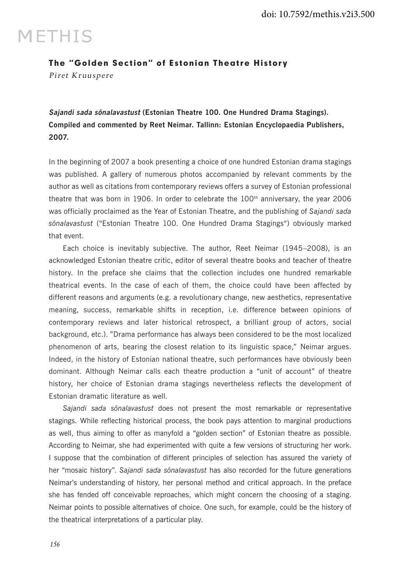## **METHIS**

## The "Golden Section" of Estonian Theatre History

Piret Kruuspere

**Sajandi sada sõnalavastust (Estonian Theatre 100. One Hundred Drama Stagings). Compiled and commented by Reet Neimar. Tallinn: Estonian Encyclopaedia Publishers, 2007.**

In the beginning of 2007 a book presenting a choice of one hundred Estonian drama stagings was published. A gallery of numerous photos accompanied by relevant comments by the author as well as citations from contemporary reviews offers a survey of Estonian professional theatre that was born in 1906. In order to celebrate the  $100<sup>th</sup>$  anniversary, the year 2006 was officially proclaimed as the Year of Estonian Theatre, and the publishing of *Sajandi sada sõnalavastust* ("Estonian Theatre 100. One Hundred Drama Stagings") obviously marked that event.

Each choice is inevitably subjective. The author, Reet Neimar (1945–2008), is an acknowledged Estonian theatre critic, editor of several theatre books and teacher of theatre history. In the preface she claims that the collection includes one hundred remarkable theatrical events. In the case of each of them, the choice could have been affected by different reasons and arguments (e.g. a revolutionary change, new aesthetics, representative meaning, success, remarkable shifts in reception, i.e. difference between opinions of contemporary reviews and later historical retrospect, a brilliant group of actors, social background, etc.). "Drama performance has always been considered to be the most localized phenomenon of arts, bearing the closest relation to its linguistic space," Neimar argues. Indeed, in the history of Estonian national theatre, such performances have obviously been dominant. Although Neimar calls each theatre production a "unit of account" of theatre history, her choice of Estonian drama stagings nevertheless reflects the development of Estonian dramatic literature as well.

*Sajandi sada sõnalavastust* does not present the most remarkable or representative stagings. While reflecting historical process, the book pays attention to marginal productions as well, thus aiming to offer as manyfold a "golden section" of Estonian theatre as possible. According to Neimar, she had experimented with quite a few versions of structuring her work. I suppose that the combination of different principles of selection has assured the variety of her "mosaic history". *Sajandi sada sõnalavastust* has also recorded for the future generations Neimar's understanding of history, her personal method and critical approach. In the preface she has fended off conceivable reproaches, which might concern the choosing of a staging. Neimar points to possible alternatives of choice. One such, for example, could be the history of the theatrical interpretations of a particular play.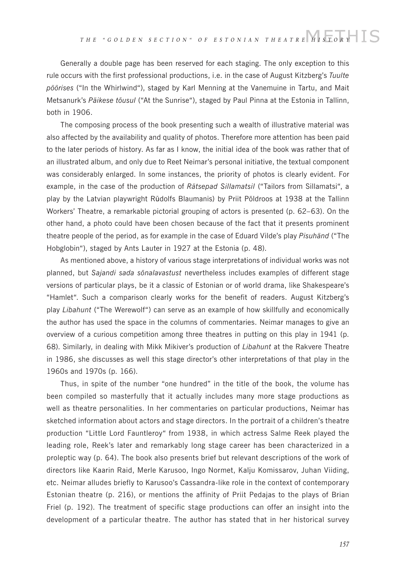Generally a double page has been reserved for each staging. The only exception to this rule occurs with the first professional productions, i.e. in the case of August Kitzberg's *Tuulte pöörises* ("In the Whirlwind"), staged by Karl Menning at the Vanemuine in Tartu, and Mait Metsanurk's *Päikese tõusul* ("At the Sunrise"), staged by Paul Pinna at the Estonia in Tallinn, both in 1906.

The composing process of the book presenting such a wealth of illustrative material was also affected by the availability and quality of photos. Therefore more attention has been paid to the later periods of history. As far as I know, the initial idea of the book was rather that of an illustrated album, and only due to Reet Neimar's personal initiative, the textual component was considerably enlarged. In some instances, the priority of photos is clearly evident. For example, in the case of the production of *Rätsepad Sillamatsil* ("Tailors from Sillamatsi", a play by the Latvian playwright Rūdolfs Blaumanis) by Priit Põldroos at 1938 at the Tallinn Workers' Theatre, a remarkable pictorial grouping of actors is presented (p. 62–63). On the other hand, a photo could have been chosen because of the fact that it presents prominent theatre people of the period, as for example in the case of Eduard Vilde's play *Pisuhänd* ("The Hobglobin"), staged by Ants Lauter in 1927 at the Estonia (p. 48).

As mentioned above, a history of various stage interpretations of individual works was not planned, but *Sajandi sada sõnalavastust* nevertheless includes examples of different stage versions of particular plays, be it a classic of Estonian or of world drama, like Shakespeare's "Hamlet". Such a comparison clearly works for the benefit of readers. August Kitzberg's play *Libahunt* ("The Werewolf") can serve as an example of how skillfully and economically the author has used the space in the columns of commentaries. Neimar manages to give an overview of a curious competition among three theatres in putting on this play in 1941 (p. 68). Similarly, in dealing with Mikk Mikiver's production of *Libahunt* at the Rakvere Theatre in 1986, she discusses as well this stage director's other interpretations of that play in the 1960s and 1970s (p. 166).

Thus, in spite of the number "one hundred" in the title of the book, the volume has been compiled so masterfully that it actually includes many more stage productions as well as theatre personalities. In her commentaries on particular productions, Neimar has sketched information about actors and stage directors. In the portrait of a children's theatre production "Little Lord Fauntleroy" from 1938, in which actress Salme Reek played the leading role, Reek's later and remarkably long stage career has been characterized in a proleptic way (p. 64). The book also presents brief but relevant descriptions of the work of directors like Kaarin Raid, Merle Karusoo, Ingo Normet, Kalju Komissarov, Juhan Viiding, etc. Neimar alludes briefly to Karusoo's Cassandra-like role in the context of contemporary Estonian theatre (p. 216), or mentions the affinity of Priit Pedajas to the plays of Brian Friel (p. 192). The treatment of specific stage productions can offer an insight into the development of a particular theatre. The author has stated that in her historical survey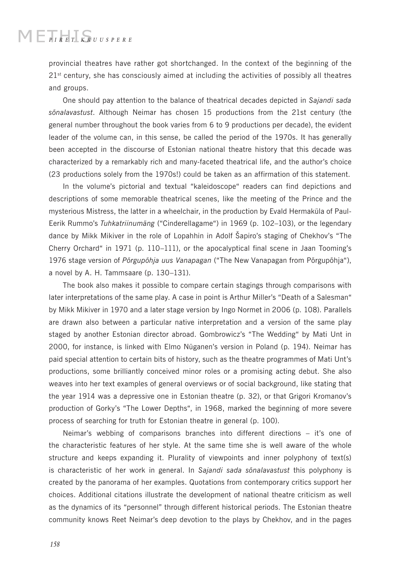## $\blacksquare$  $\blacksquare$  $\blacksquare$  $\blacksquare$  $\blacksquare$  $\blacksquare$  $\blacksquare$  $\blacksquare$  $\blacksquare$  $\blacksquare$  $\blacksquare$  $\blacksquare$  $\blacksquare$  $\blacksquare$  $\blacksquare$  $\blacksquare$  $\blacksquare$  $\blacksquare$  $\blacksquare$  $\blacksquare$  $\blacksquare$  $\blacksquare$  $\blacksquare$  $\blacksquare$  $\blacksquare$  $\blacksquare$  $\blacksquare$  $\blacksquare$  $\blacksquare$  $\blacksquare$  $\blacksquare$  $\blacksquare$  $\blacksquare$  $\blacksquare$  $\blacksquare$  $\blacksquare$  $\blacksquare$

provincial theatres have rather got shortchanged. In the context of the beginning of the  $21<sup>st</sup>$  century, she has consciously aimed at including the activities of possibly all theatres and groups.

One should pay attention to the balance of theatrical decades depicted in *Sajandi sada sõnalavastust*. Although Neimar has chosen 15 productions from the 21st century (the general number throughout the book varies from 6 to 9 productions per decade), the evident leader of the volume can, in this sense, be called the period of the 1970s. It has generally been accepted in the discourse of Estonian national theatre history that this decade was characterized by a remarkably rich and many-faceted theatrical life, and the author's choice (23 productions solely from the 1970s!) could be taken as an affirmation of this statement.

In the volume's pictorial and textual "kaleidoscope" readers can find depictions and descriptions of some memorable theatrical scenes, like the meeting of the Prince and the mysterious Mistress, the latter in a wheelchair, in the production by Evald Hermaküla of Paul-Eerik Rummo's *Tuhkatriinumäng* ("Cinderellagame") in 1969 (p. 102–103), or the legendary dance by Mikk Mikiver in the role of Lopahhin in Adolf Šapiro's staging of Chekhov's "The Cherry Orchard" in 1971 (p. 110–111), or the apocalyptical final scene in Jaan Tooming's 1976 stage version of *Põrgupõhja uus Vanapagan* ("The New Vanapagan from Põrgupõhja"), a novel by A. H. Tammsaare (p. 130–131).

The book also makes it possible to compare certain stagings through comparisons with later interpretations of the same play. A case in point is Arthur Miller's "Death of a Salesman" by Mikk Mikiver in 1970 and a later stage version by Ingo Normet in 2006 (p. 108). Parallels are drawn also between a particular native interpretation and a version of the same play staged by another Estonian director abroad. Gombrowicz's "The Wedding" by Mati Unt in 2000, for instance, is linked with Elmo Nüganen's version in Poland (p. 194). Neimar has paid special attention to certain bits of history, such as the theatre programmes of Mati Unt's productions, some brilliantly conceived minor roles or a promising acting debut. She also weaves into her text examples of general overviews or of social background, like stating that the year 1914 was a depressive one in Estonian theatre (p. 32), or that Grigori Kromanov's production of Gorky's "The Lower Depths", in 1968, marked the beginning of more severe process of searching for truth for Estonian theatre in general (p. 100).

Neimar's webbing of comparisons branches into different directions – it's one of the characteristic features of her style. At the same time she is well aware of the whole structure and keeps expanding it. Plurality of viewpoints and inner polyphony of text(s) is characteristic of her work in general. In *Sajandi sada sõnalavastust* this polyphony is created by the panorama of her examples. Quotations from contemporary critics support her choices. Additional citations illustrate the development of national theatre criticism as well as the dynamics of its "personnel" through different historical periods. The Estonian theatre community knows Reet Neimar's deep devotion to the plays by Chekhov, and in the pages